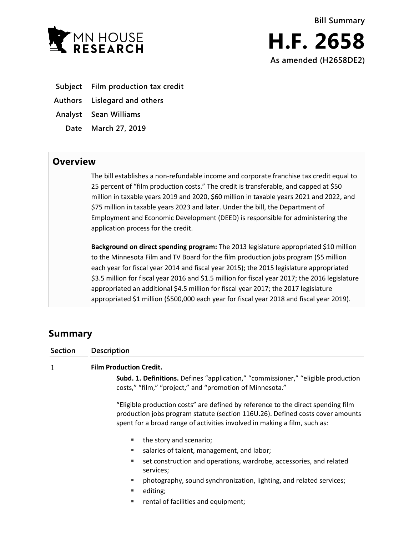

- **Subject Film production tax credit**
- **Authors Lislegard and others**
- **Analyst Sean Williams**
	- **Date March 27, 2019**

## **Overview**

The bill establishes a non-refundable income and corporate franchise tax credit equal to 25 percent of "film production costs." The credit is transferable, and capped at \$50 million in taxable years 2019 and 2020, \$60 million in taxable years 2021 and 2022, and \$75 million in taxable years 2023 and later. Under the bill, the Department of Employment and Economic Development (DEED) is responsible for administering the application process for the credit.

**Background on direct spending program:** The 2013 legislature appropriated \$10 million to the Minnesota Film and TV Board for the film production jobs program (\$5 million each year for fiscal year 2014 and fiscal year 2015); the 2015 legislature appropriated \$3.5 million for fiscal year 2016 and \$1.5 million for fiscal year 2017; the 2016 legislature appropriated an additional \$4.5 million for fiscal year 2017; the 2017 legislature appropriated \$1 million (\$500,000 each year for fiscal year 2018 and fiscal year 2019).

# **Summary**

| <b>Section</b> | <b>Description</b>                                                                                                                                                                                                                              |
|----------------|-------------------------------------------------------------------------------------------------------------------------------------------------------------------------------------------------------------------------------------------------|
| 1              | <b>Film Production Credit.</b>                                                                                                                                                                                                                  |
|                | Subd. 1. Definitions. Defines "application," "commissioner," "eligible production<br>costs," "film," "project," and "promotion of Minnesota."                                                                                                   |
|                | "Eligible production costs" are defined by reference to the direct spending film<br>production jobs program statute (section 116U.26). Defined costs cover amounts<br>spent for a broad range of activities involved in making a film, such as: |
|                | the story and scenario;<br>٠                                                                                                                                                                                                                    |
|                | salaries of talent, management, and labor;                                                                                                                                                                                                      |
|                | set construction and operations, wardrobe, accessories, and related<br>٠<br>services;                                                                                                                                                           |
|                | photography, sound synchronization, lighting, and related services;<br>٠                                                                                                                                                                        |
|                | editing;<br>٠                                                                                                                                                                                                                                   |
|                |                                                                                                                                                                                                                                                 |

**Fig.** rental of facilities and equipment;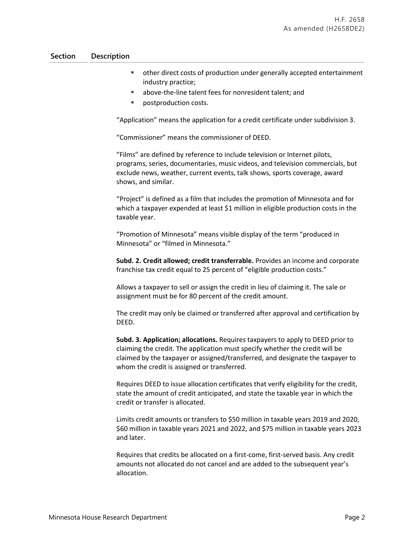### **Section Description**

- other direct costs of production under generally accepted entertainment industry practice;
- above-the-line talent fees for nonresident talent; and
- postproduction costs.

"Application" means the application for a credit certificate under subdivision 3.

"Commissioner" means the commissioner of DEED.

"Films" are defined by reference to include television or Internet pilots, programs, series, documentaries, music videos, and television commercials, but exclude news, weather, current events, talk shows, sports coverage, award shows, and similar.

"Project" is defined as a film that includes the promotion of Minnesota and for which a taxpayer expended at least \$1 million in eligible production costs in the taxable year.

"Promotion of Minnesota" means visible display of the term "produced in Minnesota" or "filmed in Minnesota."

**Subd. 2. Credit allowed; credit transferrable.** Provides an income and corporate franchise tax credit equal to 25 percent of "eligible production costs."

Allows a taxpayer to sell or assign the credit in lieu of claiming it. The sale or assignment must be for 80 percent of the credit amount.

The credit may only be claimed or transferred after approval and certification by DEED.

**Subd. 3. Application; allocations.** Requires taxpayers to apply to DEED prior to claiming the credit. The application must specify whether the credit will be claimed by the taxpayer or assigned/transferred, and designate the taxpayer to whom the credit is assigned or transferred.

Requires DEED to issue allocation certificates that verify eligibility for the credit, state the amount of credit anticipated, and state the taxable year in which the credit or transfer is allocated.

Limits credit amounts or transfers to \$50 million in taxable years 2019 and 2020, \$60 million in taxable years 2021 and 2022, and \$75 million in taxable years 2023 and later.

Requires that credits be allocated on a first-come, first-served basis. Any credit amounts not allocated do not cancel and are added to the subsequent year's allocation.